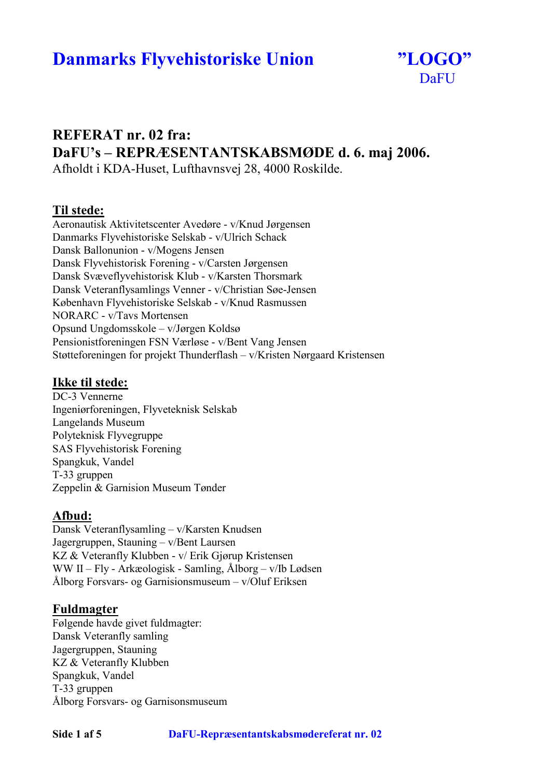# **Danmarks Flyvehistoriske Union**



### REFERAT nr. 02 fra: DaFU's - REPRÆSENTANTSKABSMØDE d. 6. maj 2006. Afholdt i KDA-Huset, Lufthavnsvei 28, 4000 Roskilde.

Til stede:

Aeronautisk Aktivitetscenter Avedøre - v/Knud Jørgensen Danmarks Flyvehistoriske Selskab - v/Ulrich Schack Dansk Ballonunion - v/Mogens Jensen Dansk Flyvehistorisk Forening - v/Carsten Jørgensen Dansk Svæveflyvehistorisk Klub - v/Karsten Thorsmark Dansk Veteranflysamlings Venner - v/Christian Søe-Jensen København Flyvehistoriske Selskab - v/Knud Rasmussen **NORARC** - v/Tavs Mortensen Opsund Ungdomsskole – v/Jørgen Koldsø Pensionistforeningen FSN Værløse - v/Bent Vang Jensen Støtteforeningen for projekt Thunderflash – v/Kristen Nørgaard Kristensen

#### Ikke til stede:

 $DC-3$  Vennerne Ingeniørforeningen, Flyveteknisk Selskab Langelands Museum Polyteknisk Flyvegruppe **SAS Flyvehistorisk Forening** Spangkuk, Vandel T-33 gruppen Zeppelin & Garnision Museum Tønder

#### Afbud:

Dansk Veteranflysamling - v/Karsten Knudsen Jagergruppen, Stauning – v/Bent Laursen KZ & Veteranfly Klubben - v/ Erik Gjørup Kristensen WW II – Fly - Arkæologisk - Samling, Ålborg –  $v/lb$  Lødsen Ålborg Forsvars- og Garnisionsmuseum  $-v/O$ luf Eriksen

#### Fuldmagter

Følgende havde givet fuldmagter: Dansk Veteranfly samling Jagergruppen, Stauning KZ & Veteranfly Klubben Spangkuk, Vandel T-33 gruppen Ålborg Forsvars- og Garnisonsmuseum

Side 1 af 5

DaFU-Repræsentantskabsmødereferat nr. 02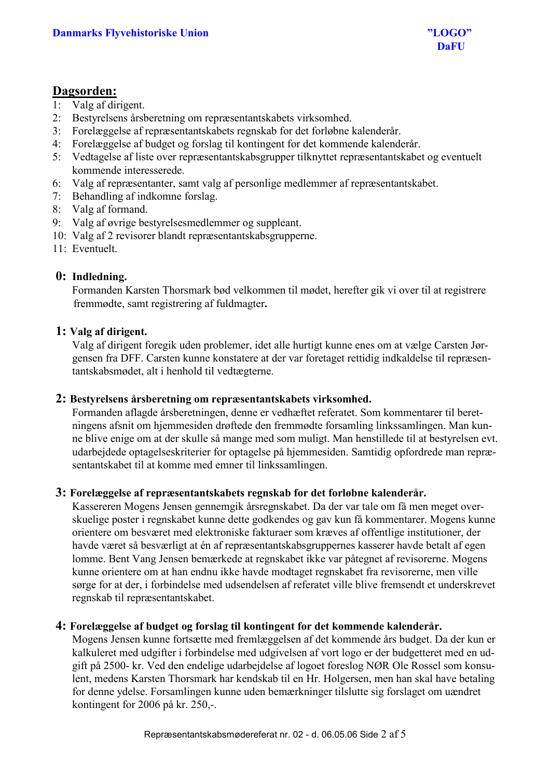

#### Dagsorden:

- 1: Valg af dirigent.
- 2: Bestyrelsens årsberetning om repræsentantskabets virksomhed.
- 3: Forelæggelse af repræsentantskabets regnskab for det forløbne kalenderår.
- 4: Forelæggelse af budget og forslag til kontingent for det kommende kalenderår.
- 5: Vedtagelse af liste over repræsentantskabsgrupper tilknyttet repræsentantskabet og eventuelt kommende interesserede.
- 6: Valg af repræsentanter, samt valg af personlige medlemmer af repræsentantskabet.
- 7: Behandling af indkomne forslag.
- 8: Valg af formand.
- 9: Valg af øvrige bestyrelsesmedlemmer og suppleant.
- 10: Valg af 2 revisorer blandt repræsentantskabsgrupperne.
- 11: Eventuelt.

#### 0: Indledning.

Formanden Karsten Thorsmark bød velkommen til mødet, herefter gik vi over til at registrere fremmødte, samt registrering af fuldmagter.

#### 1: Valg af dirigent.

Valg af dirigent foregik uden problemer, idet alle hurtigt kunne enes om at vælge Carsten Jørgensen fra DFF. Carsten kunne konstatere at der var foretaget rettidig indkaldelse til repræsentantskabsmødet, alt i henhold til vedtægterne.

#### 2: Bestyrelsens årsberetning om repræsentantskabets virksomhed.

Formanden aflagde årsberetningen, denne er vedhæftet referatet. Som kommentarer til beretningens afsnit om hjemmesiden drøftede den fremmødte forsamling linkssamlingen. Man kunne blive enige om at der skulle så mange med som muligt. Man henstillede til at bestyrelsen evt. udarbejdede optagelseskriterier for optagelse på hjemmesiden. Samtidig opfordrede man repræsentantskabet til at komme med emner til linkssamlingen.

#### 3: Forelæggelse af repræsentantskabets regnskab for det forløbne kalenderår.

Kassereren Mogens Jensen gennemgik årsregnskabet. Da der var tale om få men meget overskuelige poster i regnskabet kunne dette godkendes og gav kun få kommentarer. Mogens kunne orientere om besværet med elektroniske fakturaer som kræves af offentlige institutioner, der havde været så besværligt at én af repræsentantskabsgruppernes kasserer havde betalt af egen lomme. Bent Vang Jensen bemærkede at regnskabet ikke var påtegnet af revisorerne. Mogens kunne orientere om at han endnu ikke havde modtaget regnskabet fra revisorerne, men ville sørge for at der, i forbindelse med udsendelsen af referatet ville blive fremsendt et underskrevet regnskab til repræsentantskabet.

#### 4: Forelæggelse af budget og forslag til kontingent for det kommende kalenderår.

Mogens Jensen kunne fortsætte med fremlæggelsen af det kommende års budget. Da der kun er kalkuleret med udgifter i forbindelse med udgivelsen af vort logo er der budgetteret med en udgift på 2500- kr. Ved den endelige udarbejdelse af logoet foreslog NØR Ole Rossel som konsulent, medens Karsten Thorsmark har kendskab til en Hr. Holgersen, men han skal have betaling for denne ydelse. Forsamlingen kunne uden bemærkninger tilslutte sig forslaget om uændret kontingent for  $2006$  på kr.  $250$ ,-.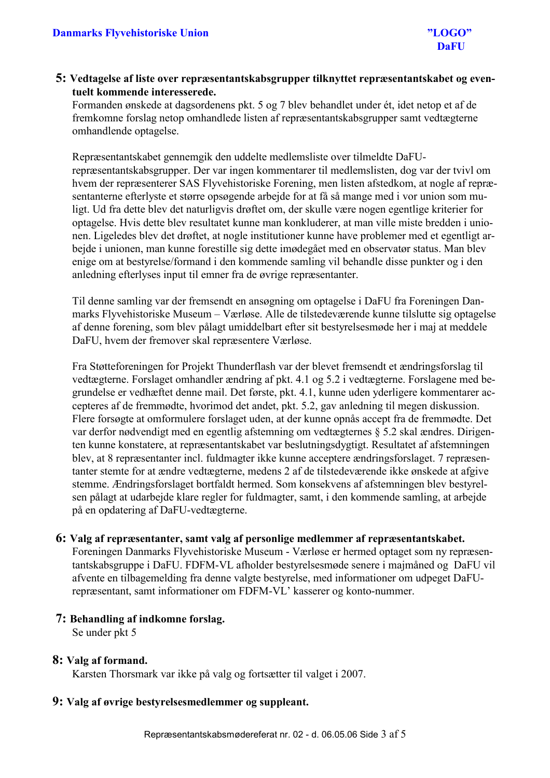5: Vedtagelse af liste over repræsentantskabsgrupper tilknyttet repræsentantskabet og eventuelt kommende interesserede.

Formanden ønskede at dagsordenens pkt. 5 og 7 blev behandlet under ét, idet netop et af de fremkomne forslag netop omhandlede listen af repræsentantskabsgrupper samt vedtægterne omhandlende optagelse.

Repræsentantskabet gennemgik den uddelte medlemsliste over tilmeldte DaFUrepræsentantskabsgrupper. Der var ingen kommentarer til medlemslisten, dog var der tvivl om hvem der repræsenterer SAS Flyvehistoriske Forening, men listen afstedkom, at nogle af repræsentanterne efterlyste et større opsøgende arbejde for at få så mange med i vor union som muligt. Ud fra dette blev det naturligvis drøftet om, der skulle være nogen egentlige kriterier for optagelse. Hvis dette blev resultatet kunne man konkluderer, at man ville miste bredden i unionen. Ligeledes blev det drøftet, at nogle institutioner kunne have problemer med et egentligt arbejde i unionen, man kunne forestille sig dette imødegået med en observatør status. Man blev enige om at bestyrelse/formand i den kommende samling vil behandle disse punkter og i den anledning efterlyses input til emner fra de øvrige repræsentanter.

Til denne samling var der fremsendt en ansøgning om optagelse i DaFU fra Foreningen Danmarks Flyvehistoriske Museum – Værløse. Alle de tilstedeværende kunne tilslutte sig optagelse af denne forening, som blev pålagt umiddelbart efter sit bestyrelsesmøde her i maj at meddele DaFU, hvem der fremover skal repræsentere Værløse.

Fra Støtteforeningen for Projekt Thunderflash var der blevet fremsendt et ændringsforslag til vedtægterne. Forslaget omhandler ændring af pkt. 4.1 og 5.2 i vedtægterne. Forslagene med begrundelse er vedhæftet denne mail. Det første, pkt. 4.1, kunne uden yderligere kommentarer accepteres af de fremmødte, hvorimod det andet, pkt. 5.2, gav anledning til megen diskussion. Flere forsøgte at omformulere forslaget uden, at der kunne opnås accept fra de fremmødte. Det var derfor nødvendigt med en egentlig afstemning om vedtægternes § 5.2 skal ændres. Dirigenten kunne konstatere, at repræsentantskabet var beslutningsdygtigt. Resultatet af afstemningen blev, at 8 repræsentanter incl. fuldmagter ikke kunne acceptere ændringsforslaget. 7 repræsentanter stemte for at ændre vedtægterne, medens 2 af de tilstedeværende ikke ønskede at afgive stemme. Ændringsforslaget bortfaldt hermed. Som konsekvens af afstemningen blev bestyrelsen pålagt at udarbejde klare regler for fuldmagter, samt, i den kommende samling, at arbejde på en opdatering af DaFU-vedtægterne.

#### 6: Valg af repræsentanter, samt valg af personlige medlemmer af repræsentantskabet.

Foreningen Danmarks Flyvehistoriske Museum - Værløse er hermed optaget som ny repræsentantskabsgruppe i DaFU. FDFM-VL afholder bestyrelsesmøde senere i majmåned og DaFU vil afvente en tilbagemelding fra denne valgte bestyrelse, med informationer om udpeget DaFUrepræsentant, samt informationer om FDFM-VL' kasserer og konto-nummer.

#### 7: Behandling af indkomne forslag.

Se under pkt 5

#### 8: Valg af formand.

Karsten Thorsmark var ikke på valg og fortsætter til valget i 2007.

#### 9: Valg af øvrige bestyrelsesmedlemmer og suppleant.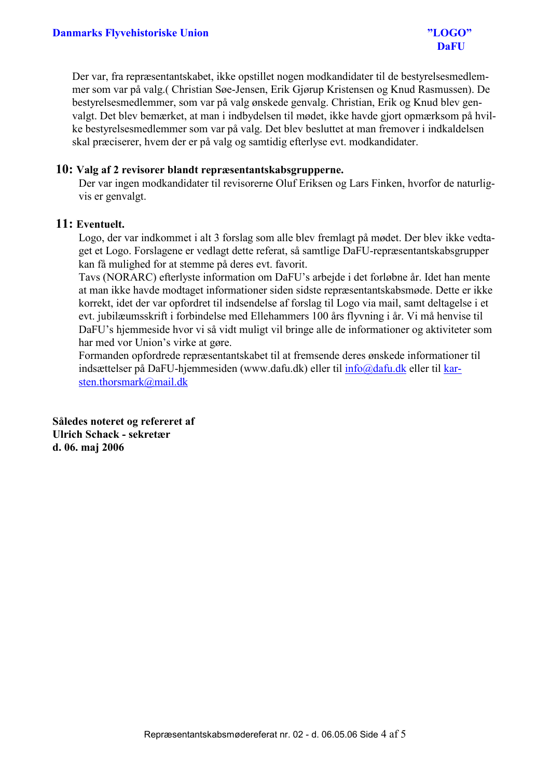Der var, fra repræsentantskabet, ikke opstillet nogen modkandidater til de bestyrelsesmedlemmer som var på valg. (Christian Søe-Jensen, Erik Gjørup Kristensen og Knud Rasmussen). De bestyrelsesmedlemmer, som var på valg ønskede genvalg. Christian, Erik og Knud blev genvalgt. Det blev bemærket, at man i indbydelsen til mødet, ikke havde gjort opmærksom på hvilke bestyrelsesmedlemmer som var på valg. Det blev besluttet at man fremover i indkaldelsen skal præciserer, hvem der er på valg og samtidig efterlyse evt. modkandidater.

#### 10: Valg af 2 revisorer blandt repræsentantskabsgrupperne.

Der var ingen modkandidater til revisorerne Oluf Eriksen og Lars Finken, hvorfor de naturligvis er genvalgt.

#### 11: Eventuelt.

Logo, der var indkommet i alt 3 forslag som alle blev fremlagt på mødet. Der blev ikke vedtaget et Logo. Forslagene er vedlagt dette referat, så samtlige DaFU-repræsentantskabsgrupper kan få mulighed for at stemme på deres evt. favorit.

Tavs (NORARC) efterlyste information om DaFU's arbejde i det forløbne år. Idet han mente at man ikke havde modtaget informationer siden sidste repræsentantskabsmøde. Dette er ikke korrekt, idet der var opfordret til indsendelse af forslag til Logo via mail, samt deltagelse i et evt. jubilæumsskrift i forbindelse med Ellehammers 100 års flyvning i år. Vi må henvise til DaFU's hjemmeside hvor vi så vidt muligt vil bringe alle de informationer og aktiviteter som har med vor Union's virke at gøre.

Formanden opfordrede repræsentantskabet til at fremsende deres ønskede informationer til indsættelser på DaFU-hjemmesiden (www.dafu.dk) eller til info@dafu.dk eller til karsten.thorsmark@mail.dk

Således noteret og refereret af **Ulrich Schack - sekretær** d. 06. maj 2006